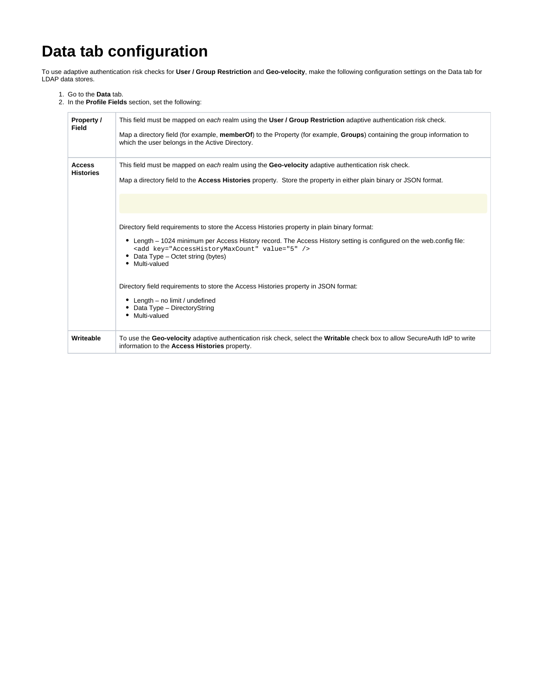## **Data tab configuration**

To use adaptive authentication risk checks for **User / Group Restriction** and **Geo-velocity**, make the following configuration settings on the Data tab for LDAP data stores.

- 1. Go to the **Data** tab.
- 2. In the **Profile Fields** section, set the following:

| Property /<br><b>Field</b>        | This field must be mapped on each realm using the User / Group Restriction adaptive authentication risk check.<br>Map a directory field (for example, memberOf) to the Property (for example, Groups) containing the group information to<br>which the user belongs in the Active Directory.                                                                                                                                                                                                                                                                                                                                                                                                                                                            |
|-----------------------------------|---------------------------------------------------------------------------------------------------------------------------------------------------------------------------------------------------------------------------------------------------------------------------------------------------------------------------------------------------------------------------------------------------------------------------------------------------------------------------------------------------------------------------------------------------------------------------------------------------------------------------------------------------------------------------------------------------------------------------------------------------------|
| <b>Access</b><br><b>Histories</b> | This field must be mapped on each realm using the Geo-velocity adaptive authentication risk check.<br>Map a directory field to the <b>Access Histories</b> property. Store the property in either plain binary or JSON format.<br>Directory field requirements to store the Access Histories property in plain binary format:<br>• Length – 1024 minimum per Access History record. The Access History setting is configured on the web.config file:<br><add key="AccessHistoryMaxCount" value="5"></add><br>Data Type - Octet string (bytes)<br>٠<br>• Multi-valued<br>Directory field requirements to store the Access Histories property in JSON format:<br>• Length – no limit / undefined<br>Data Type - DirectoryString<br>٠<br>Multi-valued<br>٠ |
| Writeable                         | To use the Geo-velocity adaptive authentication risk check, select the Writable check box to allow SecureAuth IdP to write<br>information to the Access Histories property.                                                                                                                                                                                                                                                                                                                                                                                                                                                                                                                                                                             |